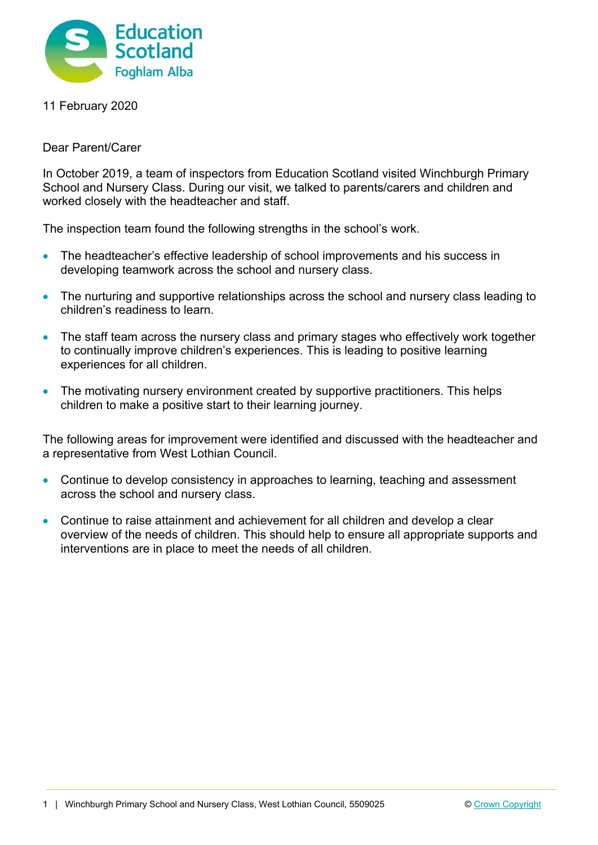

11 February 2020

Dear Parent/Carer

In October 2019, a team of inspectors from Education Scotland visited Winchburgh Primary School and Nursery Class. During our visit, we talked to parents/carers and children and worked closely with the headteacher and staff.

The inspection team found the following strengths in the school's work.

- The headteacher's effective leadership of school improvements and his success in developing teamwork across the school and nursery class.
- The nurturing and supportive relationships across the school and nursery class leading to children's readiness to learn.
- The staff team across the nursery class and primary stages who effectively work together to continually improve children's experiences. This is leading to positive learning experiences for all children.
- The motivating nursery environment created by supportive practitioners. This helps children to make a positive start to their learning journey.

The following areas for improvement were identified and discussed with the headteacher and a representative from West Lothian Council.

- Continue to develop consistency in approaches to learning, teaching and assessment across the school and nursery class.
- Continue to raise attainment and achievement for all children and develop a clear overview of the needs of children. This should help to ensure all appropriate supports and interventions are in place to meet the needs of all children.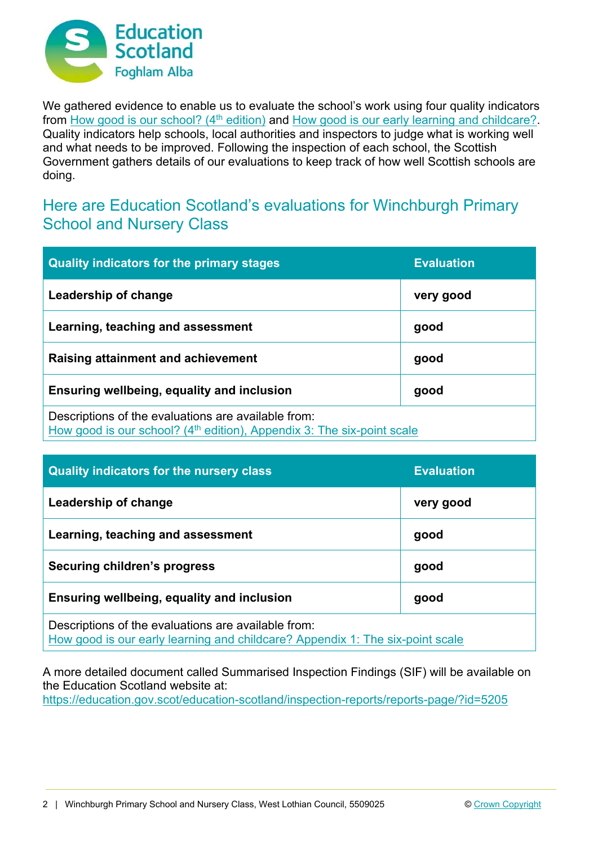

We gathered evidence to enable us to evaluate the school's work using four quality indicators from How good is our school? (4<sup>th</sup> edition) and How good is our early learning and childcare? Quality indicators help schools, local authorities and inspectors to judge what is working well and what needs to be improved. Following the inspection of each school, the Scottish Government gathers details of our evaluations to keep track of how well Scottish schools are doing.

## Here are Education Scotland's evaluations for Winchburgh Primary School and Nursery Class

| <b>Quality indicators for the primary stages</b>                                                                                | <b>Evaluation</b> |
|---------------------------------------------------------------------------------------------------------------------------------|-------------------|
| Leadership of change                                                                                                            | very good         |
| Learning, teaching and assessment                                                                                               | good              |
| Raising attainment and achievement                                                                                              | good              |
| Ensuring wellbeing, equality and inclusion                                                                                      | good              |
| Descriptions of the evaluations are available from:<br>How good is our school? $(4th$ edition), Appendix 3: The six-point scale |                   |

| <b>Quality indicators for the nursery class</b>                                                                                      | <b>Evaluation</b> |
|--------------------------------------------------------------------------------------------------------------------------------------|-------------------|
| Leadership of change                                                                                                                 | very good         |
| Learning, teaching and assessment                                                                                                    | good              |
| <b>Securing children's progress</b>                                                                                                  | good              |
| Ensuring wellbeing, equality and inclusion                                                                                           | good              |
| Descriptions of the evaluations are available from:<br>How good is our early learning and childcare? Appendix 1: The six-point scale |                   |

A more detailed document called Summarised Inspection Findings (SIF) will be available on the Education Scotland website at: https://education.gov.scot/education-scotland/inspection-reports/reports-page/?id=5205